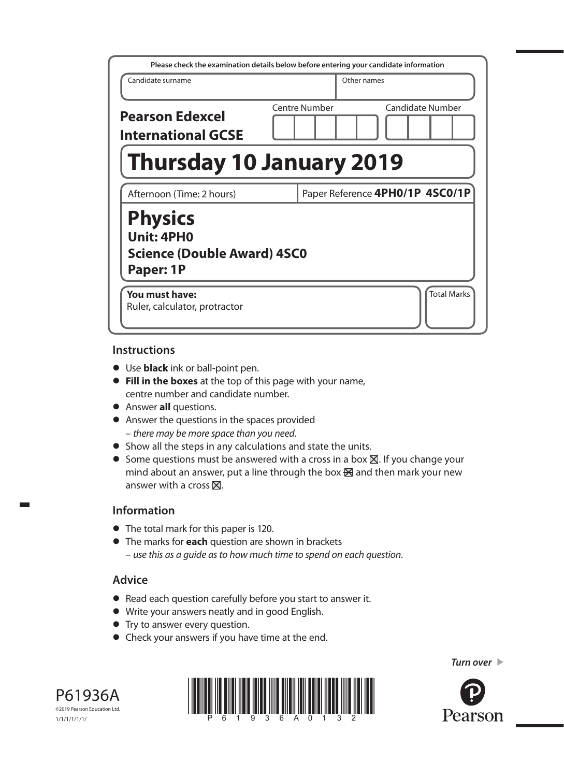| Candidate surname                                                                      |               | Other names                     |
|----------------------------------------------------------------------------------------|---------------|---------------------------------|
| <b>Pearson Edexcel</b><br><b>International GCSE</b>                                    | Centre Number | <b>Candidate Number</b>         |
| <b>Thursday 10 January 2019</b>                                                        |               |                                 |
| Afternoon (Time: 2 hours)                                                              |               | Paper Reference 4PH0/1P 4SC0/1P |
|                                                                                        |               |                                 |
| <b>Physics</b><br><b>Unit: 4PH0</b><br><b>Science (Double Award) 4SC0</b><br>Paper: 1P |               |                                 |

#### **Instructions**

- **•** Use **black** ink or ball-point pen.
- **• Fill in the boxes** at the top of this page with your name, centre number and candidate number.
- **•** Answer **all** questions.
- **•** Answer the questions in the spaces provided – *there may be more space than you need*.
- **•** Show all the steps in any calculations and state the units.
- Some questions must be answered with a cross in a box  $\boxtimes$ . If you change your mind about an answer, put a line through the box  $\mathbb{R}$  and then mark your new answer with a cross  $\nabla$ .

# **Information**

- **•** The total mark for this paper is 120.
- **•** The marks for **each** question are shown in brackets – *use this as a guide as to how much time to spend on each question*.

# **Advice**

- **•** Read each question carefully before you start to answer it.
- **•** Write your answers neatly and in good English.
- **•** Try to answer every question.
- **•** Check your answers if you have time at the end.





*Turn over* 

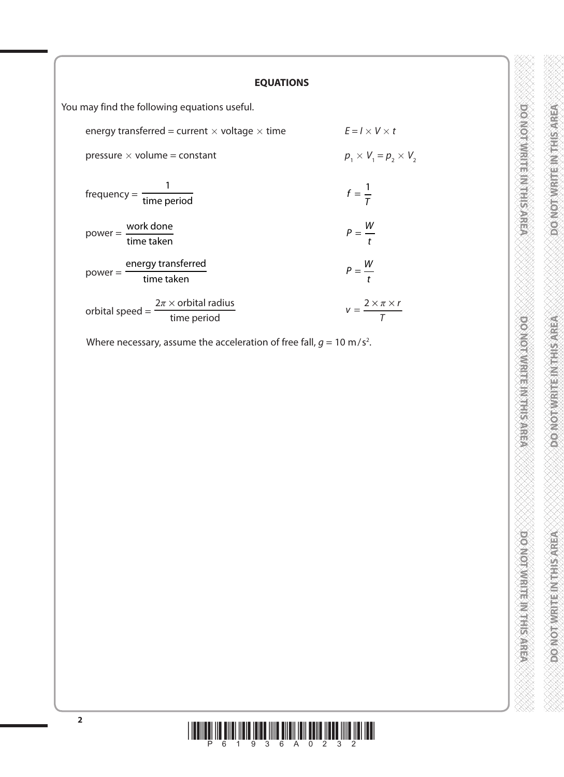| <b>EQUATIONS</b>                                                               |                                       |
|--------------------------------------------------------------------------------|---------------------------------------|
| You may find the following equations useful.                                   |                                       |
| energy transferred = current $\times$ voltage $\times$ time                    | $E = I \times V \times t$             |
| pressure $\times$ volume = constant                                            | $p_1 \times V_1 = p_2 \times V_2$     |
| $frequency = \frac{1}{time period}$                                            | $f=\frac{1}{T}$                       |
| $power = \frac{work \, done}{time \, taken}$                                   | $P = \frac{W}{t}$                     |
| energy transferred<br>$power = -$<br>time taken                                | $P = \frac{W}{t}$                     |
| orbital speed = $\frac{2\pi \times \text{orbital radius}}{\text{time period}}$ | $v = \frac{2 \times \pi \times r}{T}$ |

**DO NOTE:** 

**DO NOT WRITE IN THIS AREA** 

**DO NOTE:** 

**DOMOTHER NUTRIES** 

**DO NOTE:** 

XXXXXX

DO NOTWRITE IN THIS AREA

Where necessary, assume the acceleration of free fall,  $g = 10 \text{ m/s}^2$ .

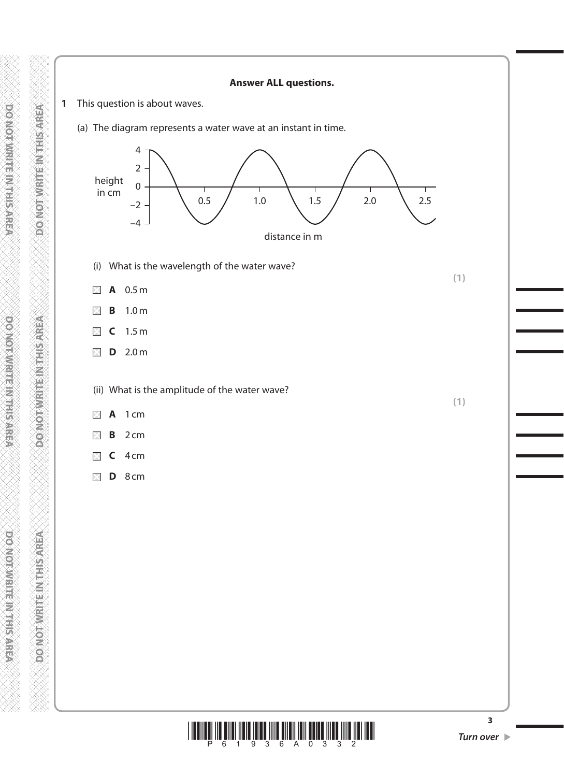



**3**

**DO NOT WRITE IN THIS AREA**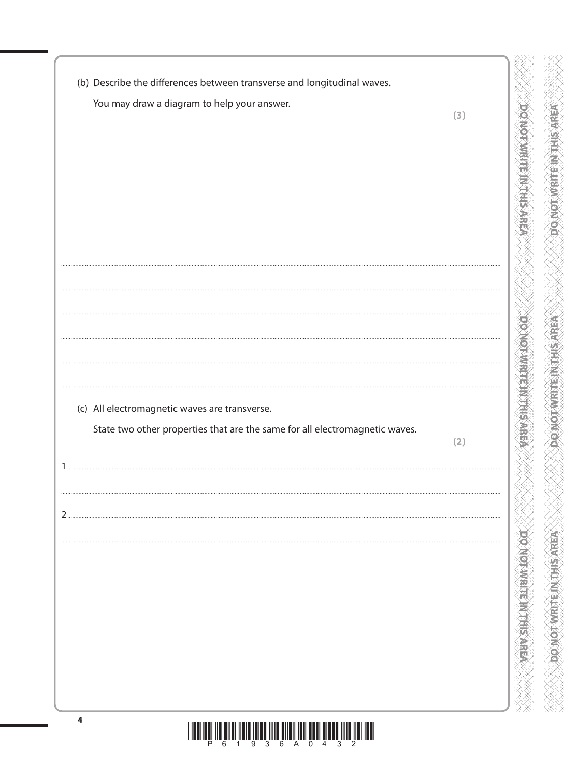| (b) Describe the differences between transverse and longitudinal waves.<br>You may draw a diagram to help your answer. | (3) |                                |
|------------------------------------------------------------------------------------------------------------------------|-----|--------------------------------|
|                                                                                                                        |     | <b>DOMOTWRITISHS ARE</b>       |
|                                                                                                                        |     |                                |
|                                                                                                                        |     |                                |
| (c) All electromagnetic waves are transverse.                                                                          |     |                                |
| State two other properties that are the same for all electromagnetic waves.<br>1                                       | (2) | 霱                              |
| 2                                                                                                                      |     | <b>DONOTWRITE IN THIS AREA</b> |
| 4                                                                                                                      |     |                                |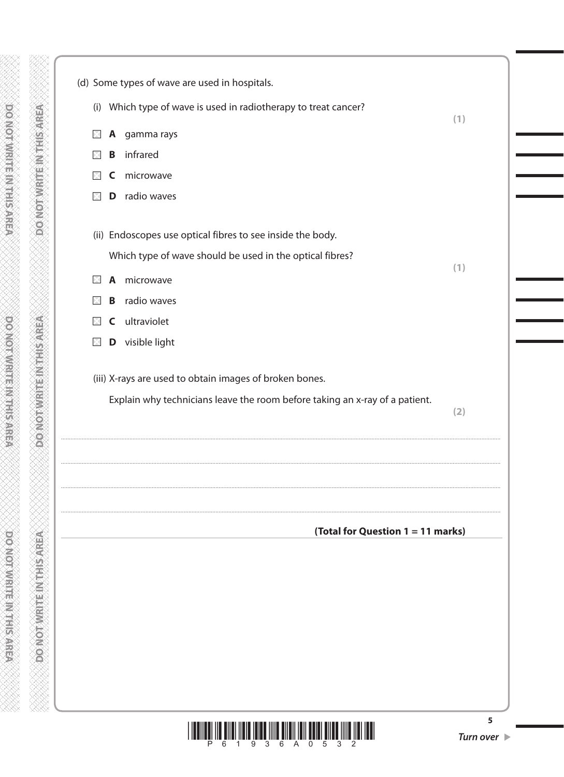|             |              | (i) Which type of wave is used in radiotherapy to treat cancer? | (1) |
|-------------|--------------|-----------------------------------------------------------------|-----|
| $\boxtimes$ |              | A gamma rays                                                    |     |
| $\boxtimes$ | B            | infrared                                                        |     |
| $\boxtimes$ |              | <b>C</b> microwave                                              |     |
| $\boxtimes$ | D            | radio waves                                                     |     |
|             |              | (ii) Endoscopes use optical fibres to see inside the body.      |     |
|             |              | Which type of wave should be used in the optical fibres?        |     |
| $\boxtimes$ | $\mathsf{A}$ | microwave                                                       | (1) |
| $\times$    | B            | radio waves                                                     |     |
| $\times$    |              | <b>C</b> ultraviolet                                            |     |
| $\times$    |              | <b>D</b> visible light                                          |     |
|             |              |                                                                 | (2) |
|             |              |                                                                 |     |
|             |              | (Total for Question 1 = 11 marks)                               |     |
|             |              |                                                                 |     |
|             |              |                                                                 |     |
|             |              |                                                                 |     |

**DO NOT WRITE IN THIS AREA DO NOT WRITE IN THIS AREA DO NOT WRITE IN THIS AREA**

**DOMOTIVRITE NITHS AREA** 

DO NOT WRITE IN THIS AREA

DO NOT WRITE IN THIS AREA



**5**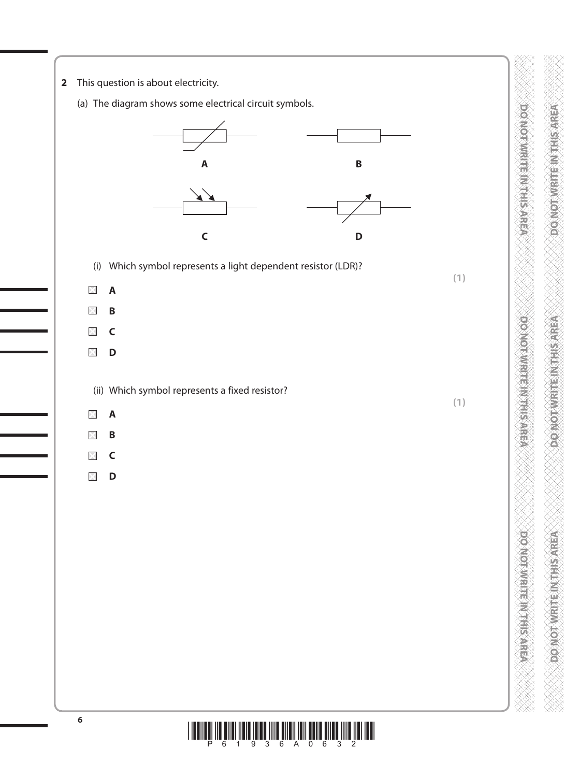**2** This question is about electricity. (a) The diagram shows some electrical circuit symbols. **A B C D** (i) Which symbol represents a light dependent resistor (LDR)? **(1) A B C D** (ii) Which symbol represents a fixed resistor? **(1) A B C D**

**DO NOTE:** 

**DOMOTWRITEINISAREA** 

**DO NOTE:** 

**DOMO MIRRING HEART** 

**DO NOTE:** 

DO NOT WRITE IN THIS AREA

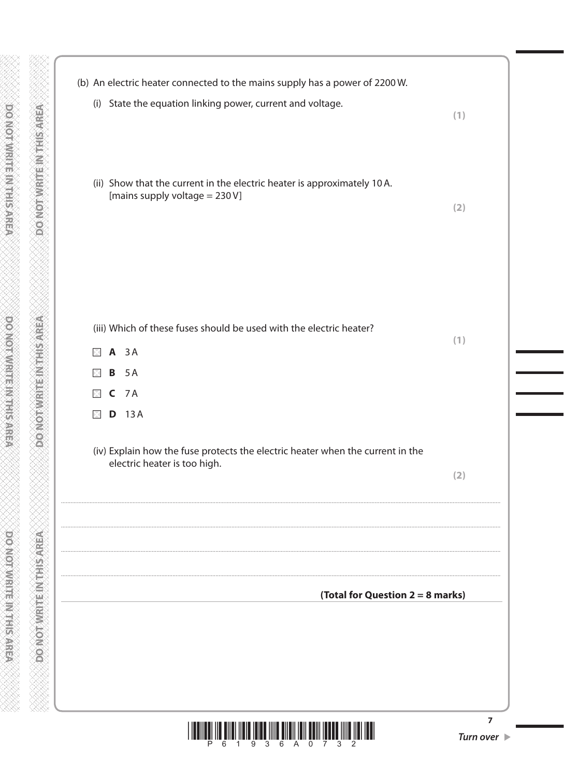|                            | (b) An electric heater connected to the mains supply has a power of 2200 W.<br>(i) State the equation linking power, current and voltage. |     |
|----------------------------|-------------------------------------------------------------------------------------------------------------------------------------------|-----|
|                            |                                                                                                                                           | (1) |
|                            | (ii) Show that the current in the electric heater is approximately 10A.<br>[mains supply voltage = $230V$ ]                               | (2) |
|                            | (iii) Which of these fuses should be used with the electric heater?                                                                       | (1) |
| $\boxtimes$<br>$\boxtimes$ | A 3A<br>5 A<br>B                                                                                                                          |     |
| X                          | $C$ 7A                                                                                                                                    |     |
| $\times$                   | <b>D</b> 13A                                                                                                                              |     |
|                            | (iv) Explain how the fuse protects the electric heater when the current in the<br>electric heater is too high.                            | (2) |
|                            |                                                                                                                                           |     |
|                            | (Total for Question 2 = 8 marks)                                                                                                          |     |
|                            |                                                                                                                                           |     |
|                            |                                                                                                                                           |     |

**DO NOT WRITE IN THIS AREA DO NOT WRITE IN THIS AREA DO NOT WRITE IN THIS AREA**

**DOMOT WRITEIN THIS AREA** 

DO NOT WRITE IN THIS AREA

DO NOT WRITE IN THIS AREA



**7**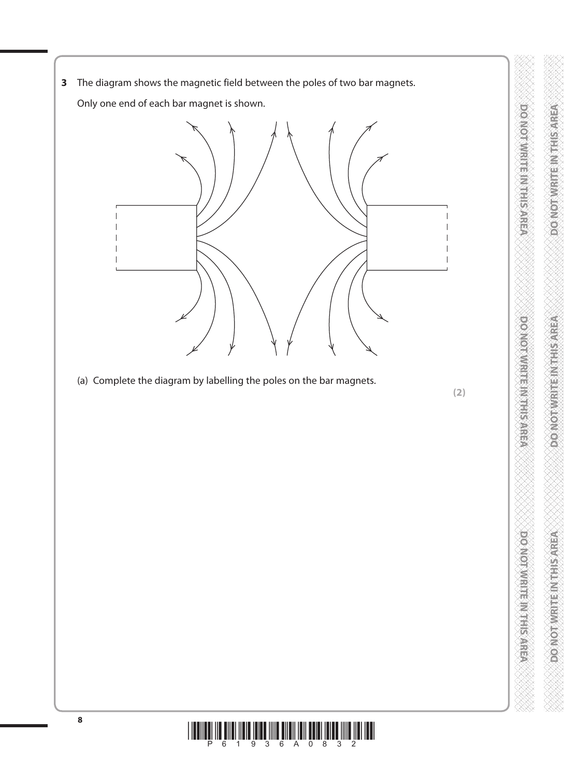**3** The diagram shows the magnetic field between the poles of two bar magnets. Only one end of each bar magnet is shown.



(a) Complete the diagram by labelling the poles on the bar magnets.

**(2)**

**DO NOTE:** 

**DOMOTWRITE METHSAREA** 

**DO NOTE:** 

**DONO MIRRIE INSTRUCTION** 

**DO NOTE:** 

DO NOT WRITE IN THIS AREA

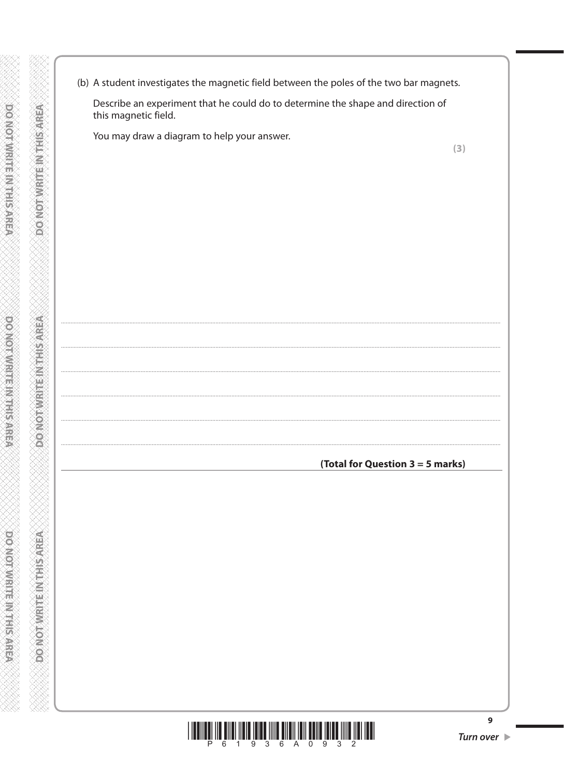(b) A student investigates the magnetic field between the poles of the two bar magnets.

Describe an experiment that he could do to determine the shape and direction of this magnetic field.

You may draw a diagram to help your answer.

 $(3)$ 

# (Total for Question  $3 = 5$  marks)

**DO NOT WRITE INTHIS AREA** 

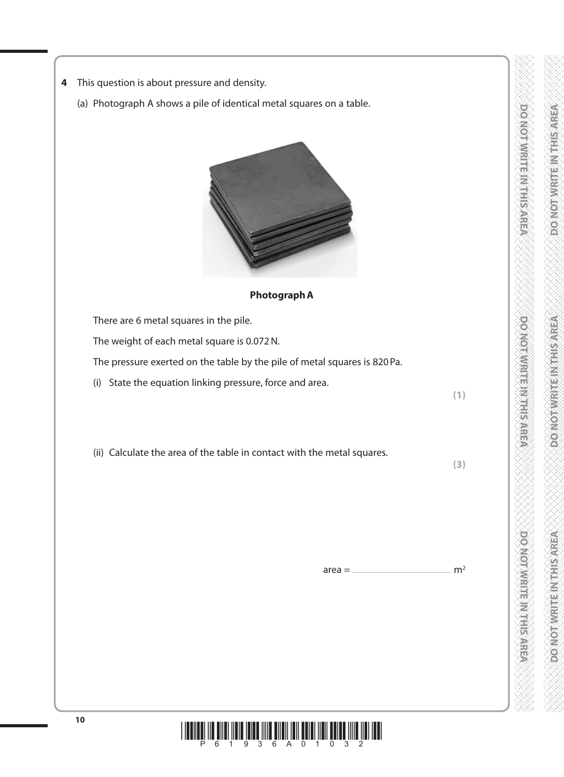DO NOT WRITE IN THIS AREA **DO NOTE:** 

- **4** This question is about pressure and density.
	- (a) Photograph A shows a pile of identical metal squares on a table.



# **PhotographA**

There are 6 metal squares in the pile.

The weight of each metal square is 0.072N.

The pressure exerted on the table by the pile of metal squares is 820Pa.

(i) State the equation linking pressure, force and area.

(ii) Calculate the area of the table in contact with the metal squares.

**(3)**

**(1)**

area = .............................................................. m2

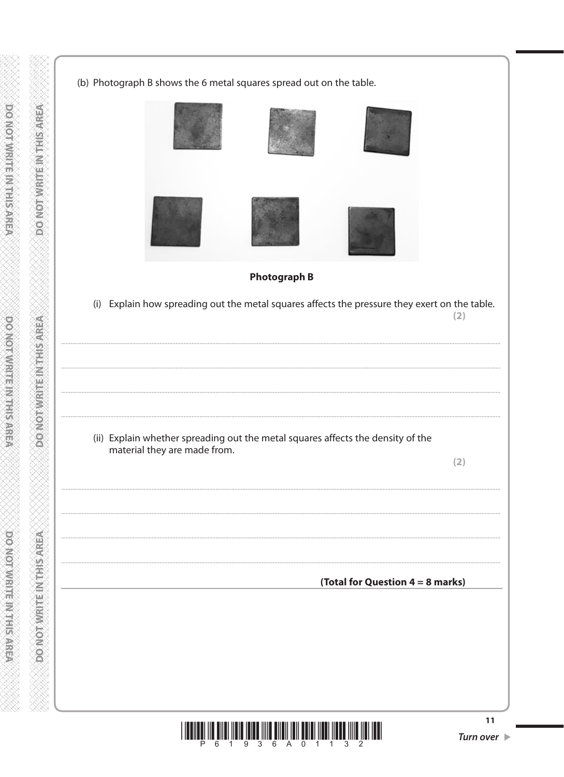(b) Photograph B shows the 6 metal squares spread out on the table. **Photograph B** (i) Explain how spreading out the metal squares affects the pressure they exert on the table.  $(2)$ (ii) Explain whether spreading out the metal squares affects the density of the material they are made from.  $(2)$ (Total for Question  $4 = 8$  marks)

**DO NOT WRITE IN THIS AREA** 

**DOMOT WRITEIN THIS AREA** 

**DONOT WRITE INTHIS AREA** 



 $11$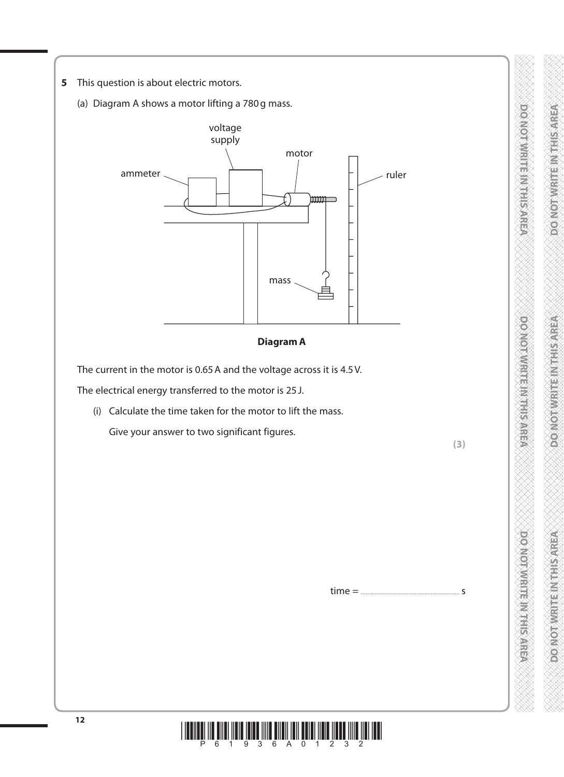**DO NOTE:** 

DO NOT WRITE IN THIS AREA

- **5** This question is about electric motors.
	- (a) Diagram A shows a motor lifting a 780g mass.



#### **Diagram A**

The current in the motor is 0.65A and the voltage across it is 4.5V.

The electrical energy transferred to the motor is 25J.

(i) Calculate the time taken for the motor to lift the mass.

Give your answer to two significant figures.

**(3)**

time = .............................................................. s

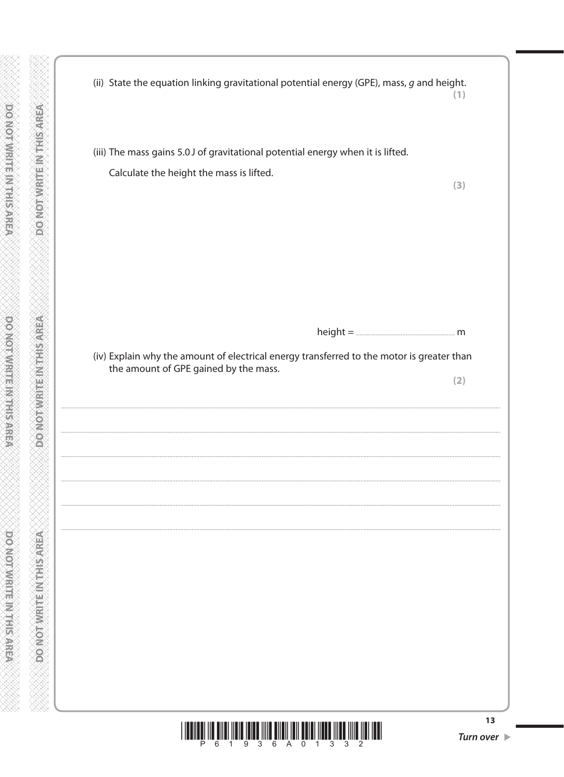| (ii) State the equation linking gravitational potential energy (GPE), mass, g and height.                                  | (1) |
|----------------------------------------------------------------------------------------------------------------------------|-----|
| (iii) The mass gains 5.0J of gravitational potential energy when it is lifted.<br>Calculate the height the mass is lifted. | (3) |
| (iv) Explain why the amount of electrical energy transferred to the motor is greater than                                  |     |
| the amount of GPE gained by the mass.                                                                                      | (2) |
|                                                                                                                            |     |
|                                                                                                                            |     |
|                                                                                                                            |     |

**DO NOT WRITE IN THIS AREA** 

**DOMOTIVRITENTISAREA** 

DO NOT WRITE IN THIS AREA

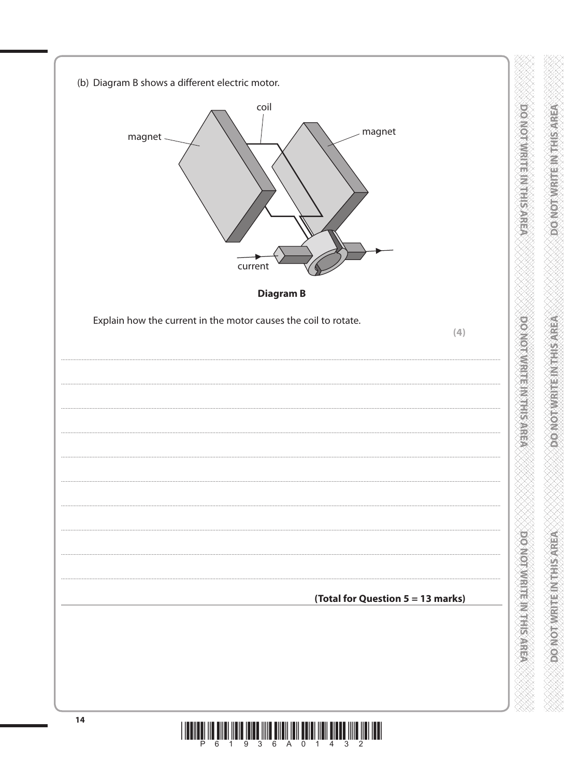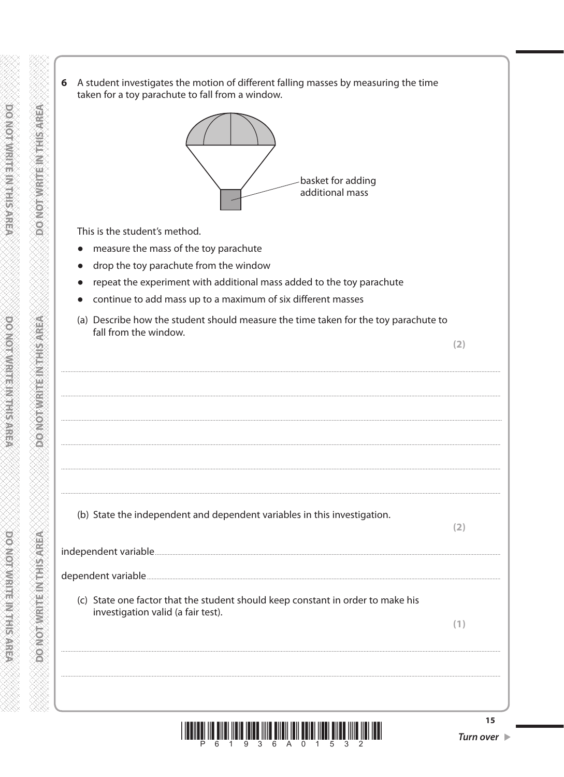6 A student investigates the motion of different falling masses by measuring the time taken for a toy parachute to fall from a window.



This is the student's method.

- measure the mass of the toy parachute
- drop the toy parachute from the window  $\bullet$
- repeat the experiment with additional mass added to the toy parachute
- continue to add mass up to a maximum of six different masses  $\bullet$
- (a) Describe how the student should measure the time taken for the toy parachute to fall from the window.

 $(2)$ 

(b) State the independent and dependent variables in this investigation.

(c) State one factor that the student should keep constant in order to make his investigation valid (a fair test).

 $(1)$ 



Ź C<br>C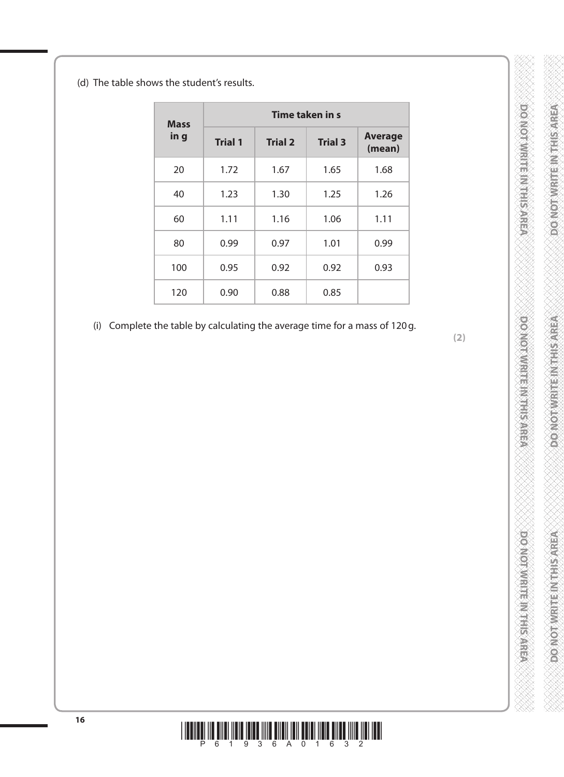**DO NOTE:** 

DO NOT WRITE IN THIS AREA

(d) The table shows the student's results.

| <b>Mass</b> | Time taken in s |                |                |                          |  |  |
|-------------|-----------------|----------------|----------------|--------------------------|--|--|
| in g        | <b>Trial 1</b>  | <b>Trial 2</b> | <b>Trial 3</b> | <b>Average</b><br>(mean) |  |  |
| 20          | 1.72            | 1.67           | 1.65           | 1.68                     |  |  |
| 40          | 1.23            | 1.30           | 1.25           | 1.26                     |  |  |
| 60          | 1.11            | 1.16           | 1.06           | 1.11                     |  |  |
| 80          | 0.99            | 0.97           | 1.01           | 0.99                     |  |  |
| 100         | 0.95            | 0.92           | 0.92           | 0.93                     |  |  |
| 120         | 0.90            | 0.88           | 0.85           |                          |  |  |

(i) Complete the table by calculating the average time for a mass of 120g.

**(2)**

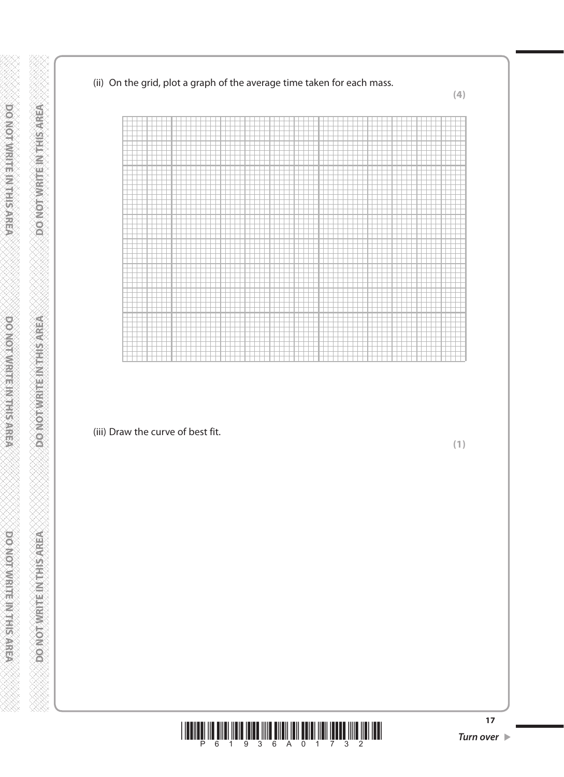

(iii) Draw the curve of best fit.





**DOMOTWRITE INTHISTAREA** 

**(4)**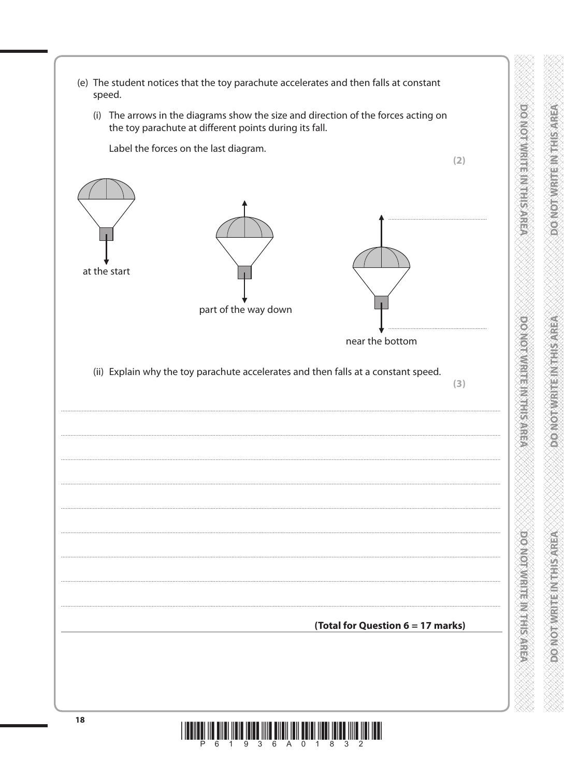

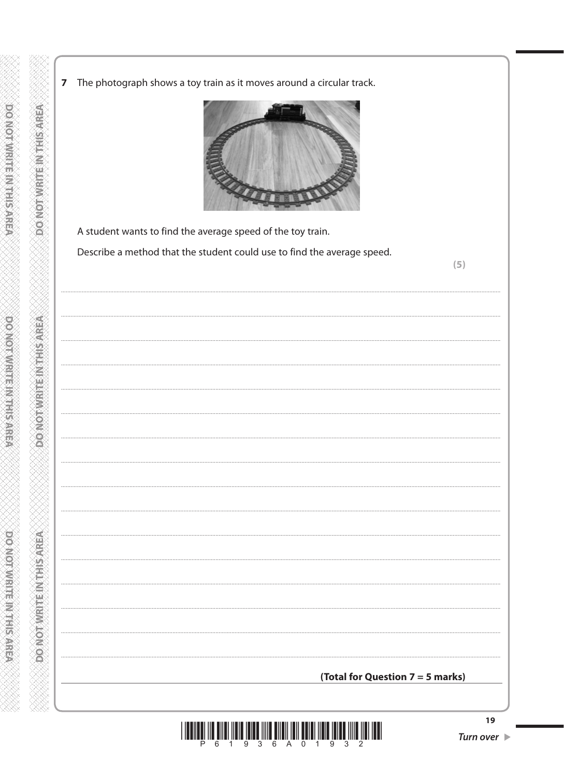The photograph shows a toy train as it moves around a circular track.  $\overline{\mathbf{z}}$ 



A student wants to find the average speed of the toy train.

Describe a method that the student could use to find the average speed.

 $(5)$ 



**DOMOTOM HEATHER** 

**DOMOT WRITEIN THIS AREA**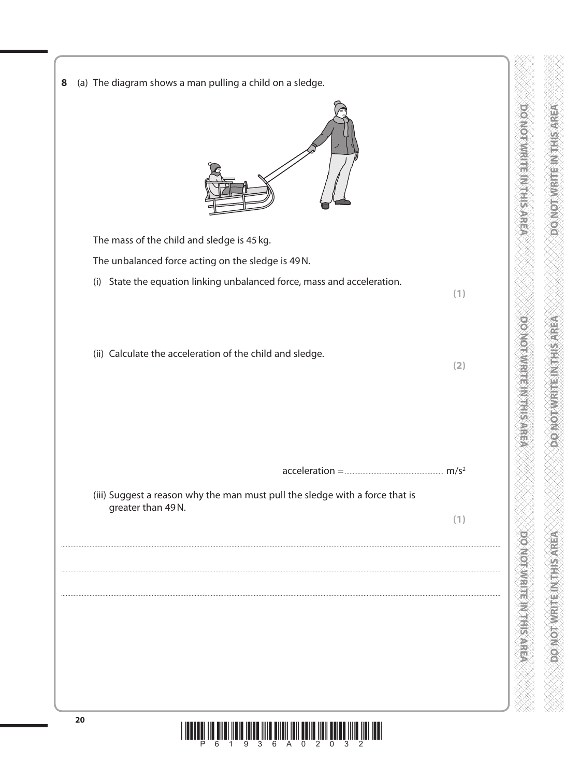| (a) The diagram shows a man pulling a child on a sledge.                     |     |
|------------------------------------------------------------------------------|-----|
| The mass of the child and sledge is 45 kg.                                   |     |
| The unbalanced force acting on the sledge is 49 N.                           |     |
| State the equation linking unbalanced force, mass and acceleration.<br>(i)   | (1) |
| (ii) Calculate the acceleration of the child and sledge.                     | (2) |
|                                                                              |     |
| (iii) Suggest a reason why the man must pull the sledge with a force that is |     |
| greater than 49N.                                                            | (1) |
|                                                                              |     |

**<sup>20</sup>** \*P61936A02032\*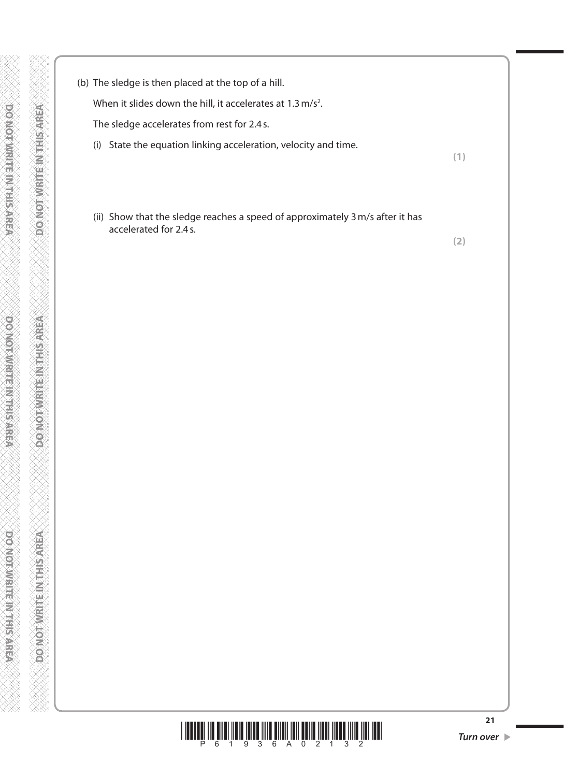- (b) The sledge is then placed at the top of a hill. When it slides down the hill, it accelerates at 1.3 m/s<sup>2</sup>. The sledge accelerates from rest for 2.4s. (i) State the equation linking acceleration, velocity and time. **(1)**
	- (ii) Show that the sledge reaches a speed of approximately 3m/s after it has accelerated for 2.4s.

**(2)**

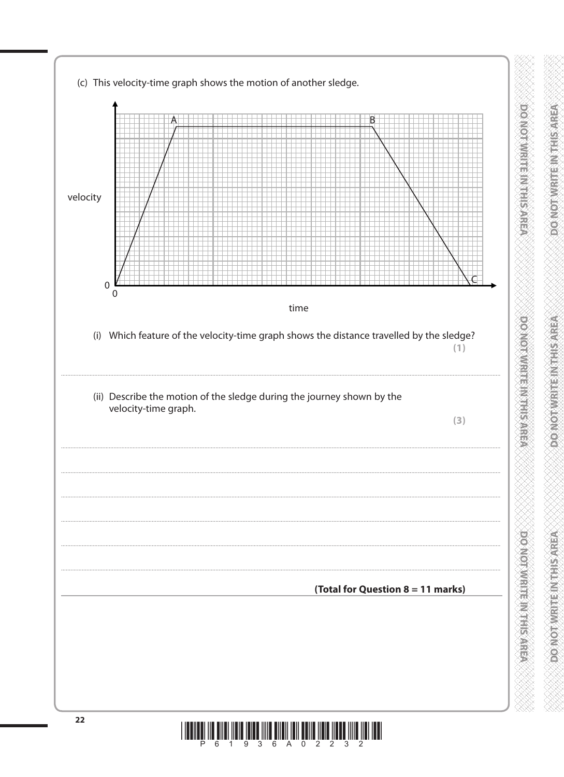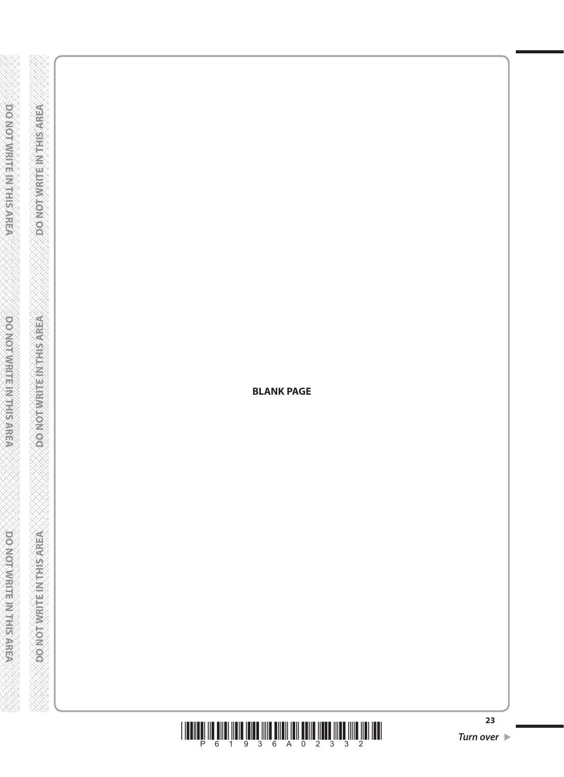**DO NOT WRITE IN THIS AREA DO NOT WRITE IN THIS AREA DO NOT WRITE IN THIS AREA DONOT WRITE IN THIS AREA** 

**DOMOT WRITEINTHIS AREA** 

**DONOTWRITEIN THIS AREA** 



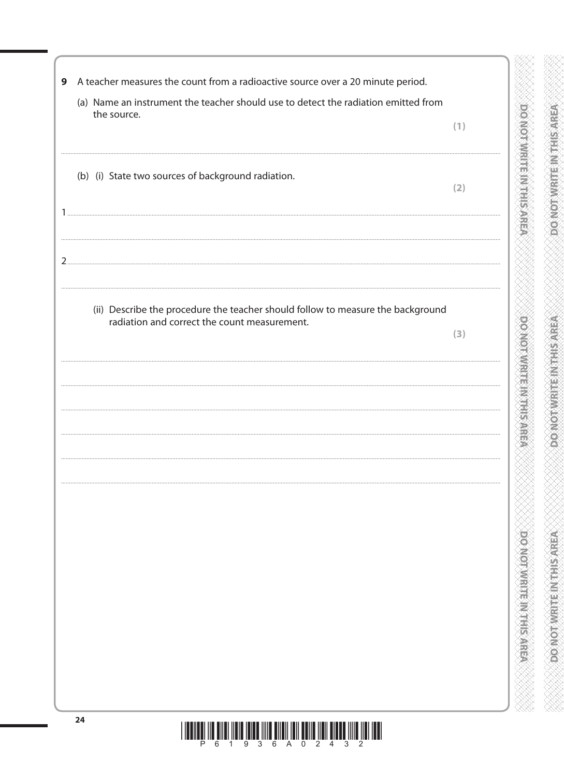| (a) Name an instrument the teacher should use to detect the radiation emitted from                                              |     |
|---------------------------------------------------------------------------------------------------------------------------------|-----|
| the source.                                                                                                                     | (1) |
| (b) (i) State two sources of background radiation.                                                                              | (2) |
|                                                                                                                                 |     |
| (ii) Describe the procedure the teacher should follow to measure the background<br>radiation and correct the count measurement. |     |
|                                                                                                                                 | (3) |
|                                                                                                                                 |     |
|                                                                                                                                 |     |
|                                                                                                                                 |     |
|                                                                                                                                 |     |
|                                                                                                                                 |     |
|                                                                                                                                 |     |
|                                                                                                                                 |     |
|                                                                                                                                 |     |
|                                                                                                                                 |     |
|                                                                                                                                 |     |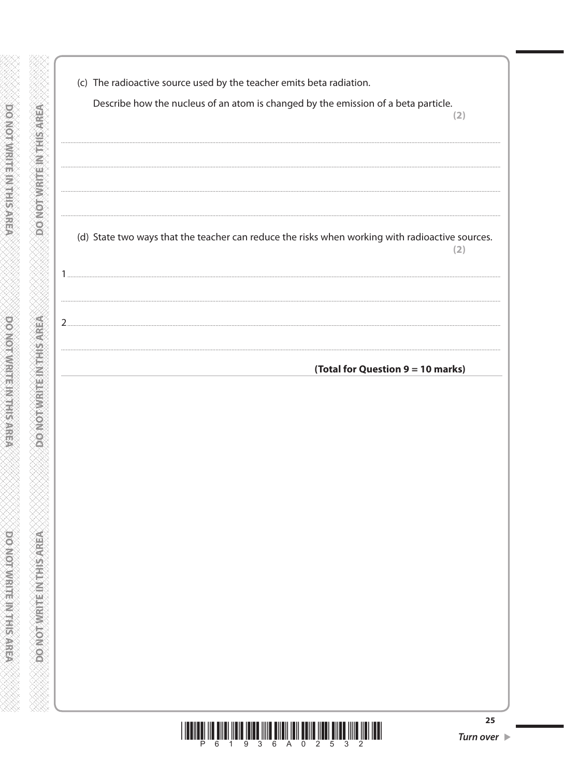|     | (c) The radioactive source used by the teacher emits beta radiation.                                   |
|-----|--------------------------------------------------------------------------------------------------------|
|     | Describe how the nucleus of an atom is changed by the emission of a beta particle.<br>(2)              |
|     |                                                                                                        |
|     | (d) State two ways that the teacher can reduce the risks when working with radioactive sources.<br>(2) |
| $2$ |                                                                                                        |
|     | (Total for Question 9 = 10 marks)                                                                      |
|     |                                                                                                        |
|     |                                                                                                        |
|     |                                                                                                        |
|     |                                                                                                        |
|     |                                                                                                        |
|     |                                                                                                        |
|     |                                                                                                        |
|     |                                                                                                        |



 $25$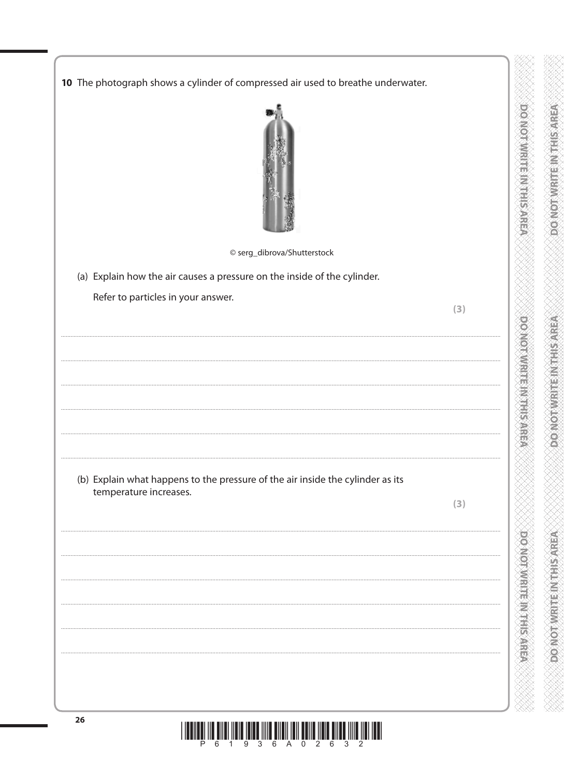| 10 The photograph shows a cylinder of compressed air used to breathe underwater.                         |     |
|----------------------------------------------------------------------------------------------------------|-----|
| © serg_dibrova/Shutterstock                                                                              |     |
| (a) Explain how the air causes a pressure on the inside of the cylinder.                                 |     |
| Refer to particles in your answer.                                                                       | (3) |
|                                                                                                          |     |
|                                                                                                          |     |
|                                                                                                          |     |
|                                                                                                          |     |
| (b) Explain what happens to the pressure of the air inside the cylinder as its<br>temperature increases. | (3) |
|                                                                                                          |     |
|                                                                                                          |     |
|                                                                                                          |     |
|                                                                                                          |     |
|                                                                                                          |     |
|                                                                                                          |     |
|                                                                                                          |     |
|                                                                                                          |     |

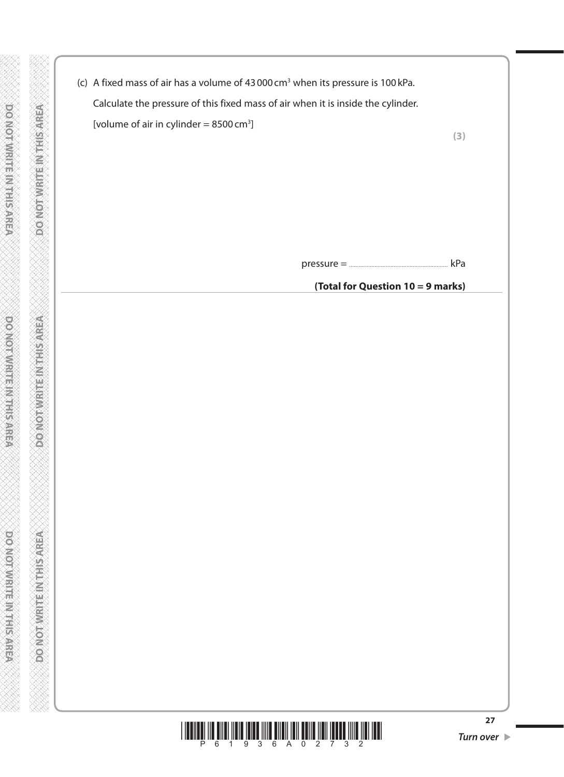(c) A fixed mass of air has a volume of 43 000 cm<sup>3</sup> when its pressure is 100 kPa. Calculate the pressure of this fixed mass of air when it is inside the cylinder. [volume of air in cylinder  $= 8500 \text{ cm}^3$ ]

pressure = .............................................................. kPa

**(Total for Question 10 = 9 marks)**

**(3)**

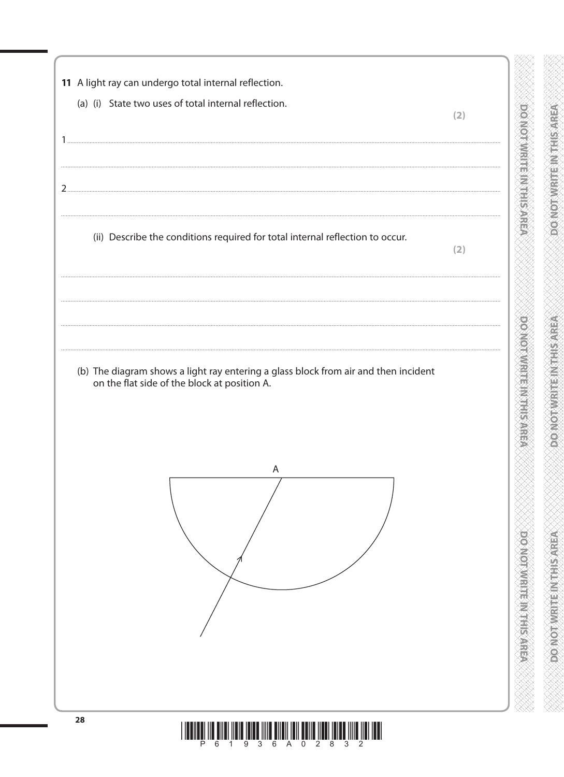

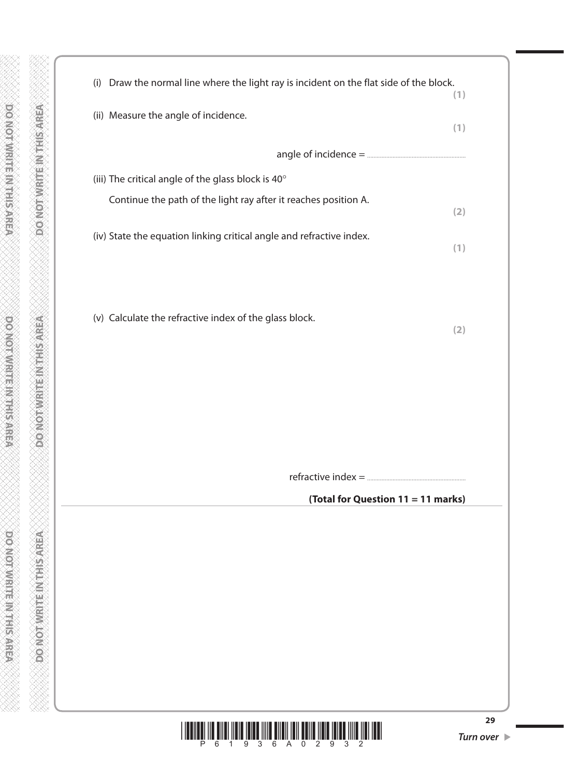(i) Draw the normal line where the light ray is incident on the flat side of the block. **(1)** (ii) Measure the angle of incidence. **(1)** angle of incidence = .............................................................. (iii) The critical angle of the glass block is 40° Continue the path of the light ray after it reaches position A. **(2)** (iv) State the equation linking critical angle and refractive index. **(1)** (v) Calculate the refractive index of the glass block. **(2)** refractive index = .............................................................. **(Total for Question 11 = 11 marks)**

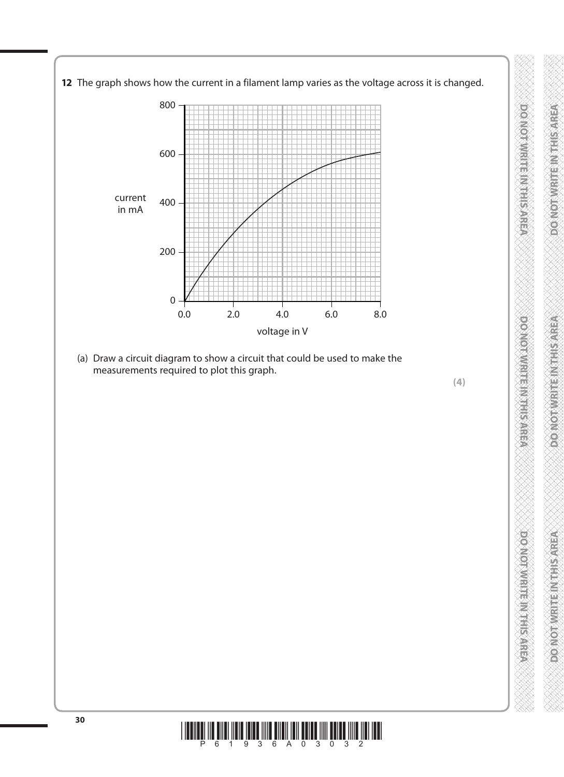

**DO NOTE:** 

**DOMOTWRITE MYHISAREA** 

**DO NOTE:** 

**DONOLWRITEIN THATSAREA** 

**DO NOTE:** 

DO NOT WRITE IN THIS AREA

**30 30 100 100 100 100 100 100 100 100 100 100 100 100 100 100 100 100 100 100 100 100 100 100 100 100 100 100 100 100 100 100 100 100 100 100 100 1**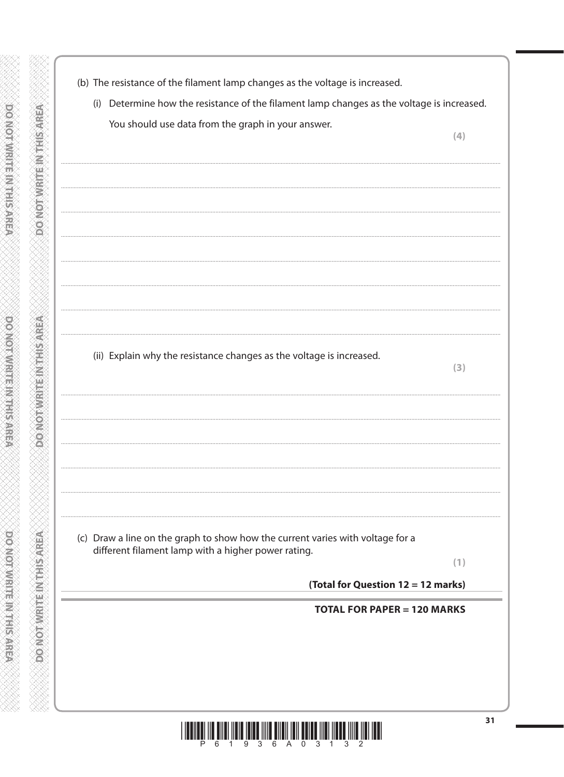(b) The resistance of the filament lamp changes as the voltage is increased.

**DONOTHING BRANCON** 

**DO NOT WRITE IN THIS AREA** 

(i) Determine how the resistance of the filament lamp changes as the voltage is increased. You should use data from the graph in your answer.

 $(4)$ 

(ii) Explain why the resistance changes as the voltage is increased.

 $(3)$ 

(c) Draw a line on the graph to show how the current varies with voltage for a different filament lamp with a higher power rating.

 $(1)$ 

(Total for Question 12 = 12 marks)

#### **TOTAL FOR PAPER = 120 MARKS**